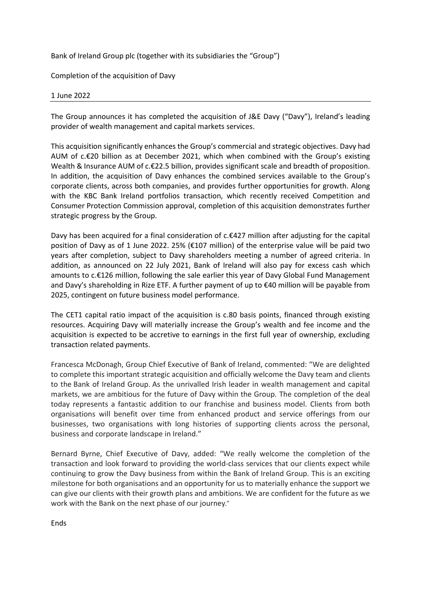Bank of Ireland Group plc (together with its subsidiaries the "Group")

Completion of the acquisition of Davy

## 1 June 2022

The Group announces it has completed the acquisition of J&E Davy ("Davy"), Ireland's leading provider of wealth management and capital markets services.

This acquisition significantly enhances the Group's commercial and strategic objectives. Davy had AUM of  $c.\epsilon$  20 billion as at December 2021, which when combined with the Group's existing Wealth & Insurance AUM of c.€22.5 billion, provides significant scale and breadth of proposition. In addition, the acquisition of Davy enhances the combined services available to the Group's corporate clients, across both companies, and provides further opportunities for growth. Along with the KBC Bank Ireland portfolios transaction, which recently received Competition and Consumer Protection Commission approval, completion of this acquisition demonstrates further strategic progress by the Group.

Davy has been acquired for a final consideration of c.€427 million after adjusting for the capital position of Davy as of 1 June 2022. 25% (€107 million) of the enterprise value will be paid two years after completion, subject to Davy shareholders meeting a number of agreed criteria. In addition, as announced on 22 July 2021, Bank of Ireland will also pay for excess cash which amounts to c.€126 million, following the sale earlier this year of Davy Global Fund Management and Davy's shareholding in Rize ETF. A further payment of up to €40 million will be payable from 2025, contingent on future business model performance.

The CET1 capital ratio impact of the acquisition is c.80 basis points, financed through existing resources. Acquiring Davy will materially increase the Group's wealth and fee income and the acquisition is expected to be accretive to earnings in the first full year of ownership, excluding transaction related payments.

Francesca McDonagh, Group Chief Executive of Bank of Ireland, commented: "We are delighted to complete this important strategic acquisition and officially welcome the Davy team and clients to the Bank of Ireland Group. As the unrivalled Irish leader in wealth management and capital markets, we are ambitious for the future of Davy within the Group. The completion of the deal today represents a fantastic addition to our franchise and business model. Clients from both organisations will benefit over time from enhanced product and service offerings from our businesses, two organisations with long histories of supporting clients across the personal, business and corporate landscape in Ireland."

Bernard Byrne, Chief Executive of Davy, added: "We really welcome the completion of the transaction and look forward to providing the world-class services that our clients expect while continuing to grow the Davy business from within the Bank of Ireland Group. This is an exciting milestone for both organisations and an opportunity for us to materially enhance the support we can give our clients with their growth plans and ambitions. We are confident for the future as we work with the Bank on the next phase of our journey."

Ends